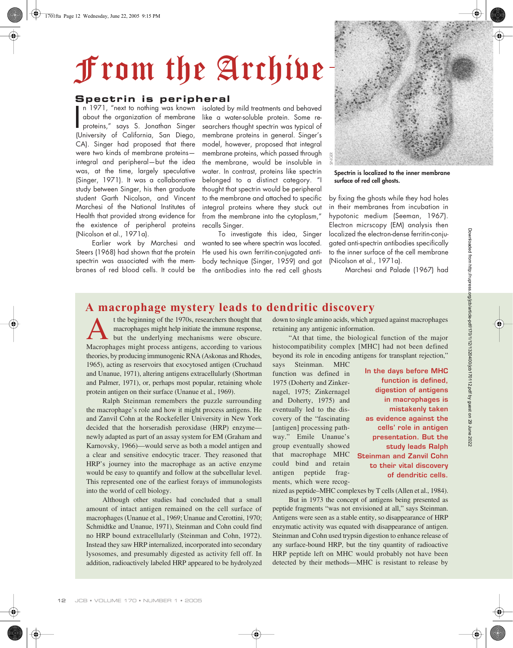## From the Archive

## **Spectrin is peripheral**

n 1971, "next to nothing was known about the organization of membrane proteins," says S. Jonathan Singer n 1971, "next to nothing was known<br>about the organization of membrane<br>proteins," says S. Jonathan Singer<br>(University of California, San Diego, CA). Singer had proposed that there were two kinds of membrane proteins integral and peripheral—but the idea was, at the time, largely speculative (Singer, 1971). It was a collaborative study between Singer, his then graduate student Garth Nicolson, and Vincent Marchesi of the National Institutes of Health that provided strong evidence for the existence of peripheral proteins (Nicolson et al., 1971a).

Earlier work by Marchesi and Steers (1968) had shown that the protein spectrin was associated with the membranes of red blood cells. It could be

isolated by mild treatments and behaved like a water-soluble protein. Some researchers thought spectrin was typical of membrane proteins in general. Singer's model, however, proposed that integral membrane proteins, which passed through the membrane, would be insoluble in water. In contrast, proteins like spectrin belonged to a distinct category. "I thought that spectrin would be peripheral to the membrane and attached to specific integral proteins where they stuck out from the membrane into the cytoplasm," recalls Singer.

To investigate this idea, Singer wanted to see where spectrin was located. He used his own ferritin-conjugated antibody technique (Singer, 1959) and got the antibodies into the red cell ghosts



**Spectrin is localized to the inner membrane surface of red cell ghosts.**

by fixing the ghosts while they had holes in their membranes from incubation in hypotonic medium (Seeman, 1967). Electron micrscopy (EM) analysis then localized the electron-dense ferritin-conjugated anti-spectrin antibodies specifically to the inner surface of the cell membrane (Nicolson et al., 1971a).

Marchesi and Palade (1967) had

## **A macrophage mystery leads to dendritic discovery**

t the beginning of the 1970s, researchers thought that macrophages might help initiate the immune response, but the underlying mechanisms were obscure. t the beginning of the 1970s, researchers thought that macrophages might help initiate the immune response,<br>but the underlying mechanisms were obscure.<br>Macrophages might process antigens, according to various theories, by producing immunogenic RNA (Askonas and Rhodes, 1965), acting as reservoirs that exocytosed antigen (Cruchaud and Unanue, 1971), altering antigens extracellularly (Shortman and Palmer, 1971), or, perhaps most popular, retaining whole protein antigen on their surface (Unanue et al., 1969).

Ralph Steinman remembers the puzzle surrounding the macrophage's role and how it might process antigens. He and Zanvil Cohn at the Rockefeller University in New York decided that the horseradish peroxidase (HRP) enzyme newly adapted as part of an assay system for EM (Graham and Karnovsky, 1966)—would serve as both a model antigen and a clear and sensitive endocytic tracer. They reasoned that HRP's journey into the macrophage as an active enzyme would be easy to quantify and follow at the subcellular level. This represented one of the earliest forays of immunologists into the world of cell biology.

Although other studies had concluded that a small amount of intact antigen remained on the cell surface of macrophages (Unanue et al., 1969; Unanue and Cerottini, 1970; Schmidtke and Unanue, 1971), Steinman and Cohn could find no HRP bound extracellularly (Steinman and Cohn, 1972). Instead they saw HRP internalized, incorporated into secondary lysosomes, and presumably digested as activity fell off. In addition, radioactively labeled HRP appeared to be hydrolyzed down to single amino acids, which argued against macrophages retaining any antigenic information.

"At that time, the biological function of the major histocompatibility complex [MHC] had not been defined beyond its role in encoding antigens for transplant rejection,"

says Steinman. MHC function was defined in 1975 (Doherty and Zinkernagel, 1975; Zinkernagel and Doherty, 1975) and eventually led to the discovery of the "fascinating [antigen] processing pathway." Emile Unanue's group eventually showed that macrophage MHC could bind and retain antigen peptide fragments, which were recog-

**In the days before MHC function is defined, digestion of antigens in macrophages is mistakenly taken as evidence against the cells' role in antigen presentation. But the study leads Ralph Steinman and Zanvil Cohn to their vital discovery of dendritic cells.**

nized as peptide–MHC complexes by T cells (Allen et al., 1984).

But in 1973 the concept of antigens being presented as peptide fragments "was not envisioned at all," says Steinman. Antigens were seen as a stable entity, so disappearance of HRP enzymatic activity was equated with disappearance of antigen. Steinman and Cohn used trypsin digestion to enhance release of any surface-bound HRP, but the tiny quantity of radioactive HRP peptide left on MHC would probably not have been detected by their methods—MHC is resistant to release by